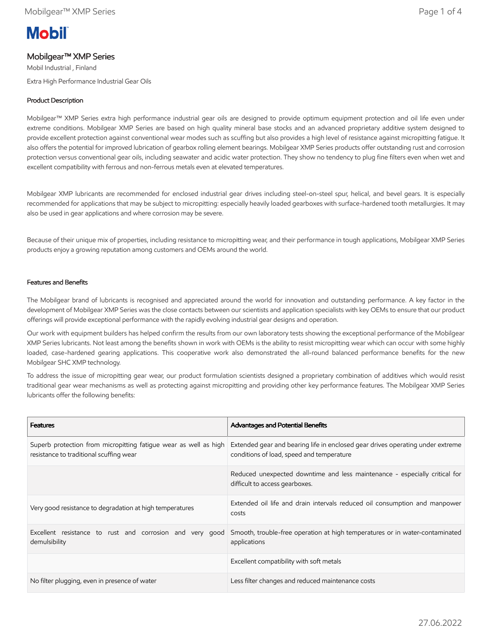# **Mobil**

## Mobilgear™ XMP Series

Mobil Industrial , Finland Extra High Performance Industrial Gear Oils

## Product Description

Mobilgear™ XMP Series extra high performance industrial gear oils are designed to provide optimum equipment protection and oil life even under extreme conditions. Mobilgear XMP Series are based on high quality mineral base stocks and an advanced proprietary additive system designed to provide excellent protection against conventional wear modes such as scuffing but also provides a high level of resistance against micropitting fatigue. It also offers the potential for improved lubrication of gearbox rolling element bearings. Mobilgear XMP Series products offer outstanding rust and corrosion protection versus conventional gear oils, including seawater and acidic water protection. They show no tendency to plug fine filters even when wet and excellent compatibility with ferrous and non-ferrous metals even at elevated temperatures.

Mobilgear XMP lubricants are recommended for enclosed industrial gear drives including steel-on-steel spur, helical, and bevel gears. It is especially recommended for applications that may be subject to micropitting: especially heavily loaded gearboxes with surface-hardened tooth metallurgies. It may also be used in gear applications and where corrosion may be severe.

Because of their unique mix of properties, including resistance to micropitting wear, and their performance in tough applications, Mobilgear XMP Series products enjoy a growing reputation among customers and OEMs around the world.

#### Features and Benefits

The Mobilgear brand of lubricants is recognised and appreciated around the world for innovation and outstanding performance. A key factor in the development of Mobilgear XMP Series was the close contacts between our scientists and application specialists with key OEMs to ensure that our product offerings will provide exceptional performance with the rapidly evolving industrial gear designs and operation.

Our work with equipment builders has helped confirm the results from our own laboratory tests showing the exceptional performance of the Mobilgear XMP Series lubricants. Not least among the benefits shown in work with OEMs is the ability to resist micropitting wear which can occur with some highly loaded, case-hardened gearing applications. This cooperative work also demonstrated the all-round balanced performance benefits for the new Mobilgear SHC XMP technology.

To address the issue of micropitting gear wear, our product formulation scientists designed a proprietary combination of additives which would resist traditional gear wear mechanisms as well as protecting against micropitting and providing other key performance features. The Mobilgear XMP Series lubricants offer the following benefits:

| <b>Features</b>                                                                                             | <b>Advantages and Potential Benefits</b>                                                                                    |
|-------------------------------------------------------------------------------------------------------------|-----------------------------------------------------------------------------------------------------------------------------|
| Superb protection from micropitting fatique wear as well as high<br>resistance to traditional scuffing wear | Extended gear and bearing life in enclosed gear drives operating under extreme<br>conditions of load, speed and temperature |
|                                                                                                             | Reduced unexpected downtime and less maintenance - especially critical for<br>difficult to access gearboxes.                |
| Very good resistance to degradation at high temperatures                                                    | Extended oil life and drain intervals reduced oil consumption and manpower<br>costs                                         |
| Excellent resistance to rust and corrosion and very good<br>demulsibility                                   | Smooth, trouble-free operation at high temperatures or in water-contaminated<br>applications                                |
|                                                                                                             | Excellent compatibility with soft metals                                                                                    |
| No filter plugging, even in presence of water                                                               | Less filter changes and reduced maintenance costs                                                                           |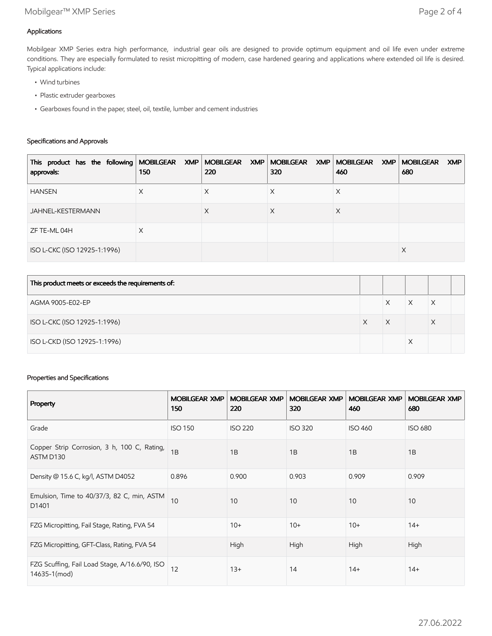## Applications

Mobilgear XMP Series extra high performance, industrial gear oils are designed to provide optimum equipment and oil life even under extreme conditions. They are especially formulated to resist micropitting of modern, case hardened gearing and applications where extended oil life is desired. Typical applications include:

- Wind turbines
- Plastic extruder gearboxes
- Gearboxes found in the paper, steel, oil, textile, lumber and cement industries

## Specifications and Approvals

| This product has the following MOBILGEAR XMP MOBILGEAR XMP MOBILGEAR XMP MOBILGEAR XMP MOBILGEAR<br>approvals: | 150 | 220 | 320 | 460 | XMP<br>680 |
|----------------------------------------------------------------------------------------------------------------|-----|-----|-----|-----|------------|
| <b>HANSEN</b>                                                                                                  | Χ   | ∧   | ∧   | ⋏   |            |
| JAHNEL-KESTERMANN                                                                                              |     | X   | Х   | X   |            |
| ZF TE-ML 04H                                                                                                   | X   |     |     |     |            |
| ISO L-CKC (ISO 12925-1:1996)                                                                                   |     |     |     |     | X          |

| This product meets or exceeds the requirements of: |   |   |   |  |
|----------------------------------------------------|---|---|---|--|
| AGMA 9005-E02-EP                                   |   |   | X |  |
| ISO L-CKC (ISO 12925-1:1996)                       | X | X | Х |  |
| ISO L-CKD (ISO 12925-1:1996)                       |   |   |   |  |

## Properties and Specifications

| Property                                                      | <b>MOBILGEAR XMP</b><br>150 | <b>MOBILGEAR XMP</b><br>220 | <b>MOBILGEAR XMP</b><br>320 | <b>MOBILGEAR XMP</b><br>460 | <b>MOBILGEAR XMP</b><br>680 |
|---------------------------------------------------------------|-----------------------------|-----------------------------|-----------------------------|-----------------------------|-----------------------------|
| Grade                                                         | <b>ISO 150</b>              | <b>ISO 220</b>              | <b>ISO 320</b>              | <b>ISO 460</b>              | <b>ISO 680</b>              |
| Copper Strip Corrosion, 3 h, 100 C, Rating,<br>ASTM D130      | 1B                          | 1B                          | 1B                          | 1B                          | 1B                          |
| Density @ 15.6 C, kg/l, ASTM D4052                            | 0.896                       | 0.900                       | 0.903                       | 0.909                       | 0.909                       |
| Emulsion, Time to 40/37/3, 82 C, min, ASTM<br>D1401           | 10                          | 10                          | 10                          | 10                          | 10                          |
| FZG Micropitting, Fail Stage, Rating, FVA 54                  |                             | $10+$                       | $10+$                       | $10+$                       | $14+$                       |
| FZG Micropitting, GFT-Class, Rating, FVA 54                   |                             | High                        | High                        | High                        | High                        |
| FZG Scuffing, Fail Load Stage, A/16.6/90, ISO<br>14635-1(mod) | 12                          | $13+$                       | 14                          | $14+$                       | $14+$                       |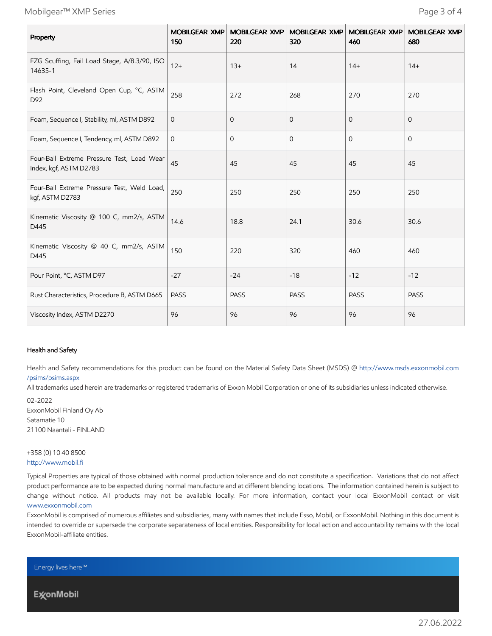Mobilgear™ XMP Series Page 3 of 4

| Property                                                             | <b>MOBILGEAR XMP</b><br>150 | <b>MOBILGEAR XMP</b><br>220 | <b>MOBILGEAR XMP</b><br>320 | <b>MOBILGEAR XMP</b><br>460 | <b>MOBILGEAR XMP</b><br>680 |
|----------------------------------------------------------------------|-----------------------------|-----------------------------|-----------------------------|-----------------------------|-----------------------------|
| FZG Scuffing, Fail Load Stage, A/8.3/90, ISO<br>14635-1              | $12+$                       | $13+$                       | 14                          | $14+$                       | $14+$                       |
| Flash Point, Cleveland Open Cup, °C, ASTM<br>D92                     | 258                         | 272                         | 268                         | 270                         | 270                         |
| Foam, Sequence I, Stability, ml, ASTM D892                           | $\mathbf 0$                 | 0                           | 0                           | $\mathbf 0$                 | $\mathbf{0}$                |
| Foam, Sequence I, Tendency, ml, ASTM D892                            | $\mathbf{0}$                | $\mathbf{0}$                | $\mathbf{O}$                | $\mathbf{0}$                | $\Omega$                    |
| Four-Ball Extreme Pressure Test, Load Wear<br>Index, kgf, ASTM D2783 | 45                          | 45                          | 45                          | 45                          | 45                          |
| Four-Ball Extreme Pressure Test, Weld Load,<br>kgf, ASTM D2783       | 250                         | 250                         | 250                         | 250                         | 250                         |
| Kinematic Viscosity @ 100 C, mm2/s, ASTM<br>D445                     | 14.6                        | 18.8                        | 24.1                        | 30.6                        | 30.6                        |
| Kinematic Viscosity @ 40 C, mm2/s, ASTM<br>D445                      | 150                         | 220                         | 320                         | 460                         | 460                         |
| Pour Point, °C, ASTM D97                                             | $-27$                       | $-24$                       | $-18$                       | $-12$                       | $-12$                       |
| Rust Characteristics, Procedure B, ASTM D665                         | <b>PASS</b>                 | PASS                        | PASS                        | PASS                        | PASS                        |
| Viscosity Index, ASTM D2270                                          | 96                          | 96                          | 96                          | 96                          | 96                          |

#### Health and Safety

Health and Safety recommendations for this product can be found on the Material Safety Data Sheet (MSDS) @ [http://www.msds.exxonmobil.com](http://www.msds.exxonmobil.com/psims/psims.aspx) /psims/psims.aspx

All trademarks used herein are trademarks or registered trademarks of Exxon Mobil Corporation or one of its subsidiaries unless indicated otherwise.

02-2022 ExxonMobil Finland Oy Ab Satamatie 10 21100 Naantali - FINLAND

+358 (0) 10 40 8500 [http://www.mobil.fi](http://www.mobil.fi/)

Typical Properties are typical of those obtained with normal production tolerance and do not constitute a specification. Variations that do not affect product performance are to be expected during normal manufacture and at different blending locations. The information contained herein is subject to change without notice. All products may not be available locally. For more information, contact your local ExxonMobil contact or visit [www.exxonmobil.com](http://www.exxonmobil.com/)

ExxonMobil is comprised of numerous affiliates and subsidiaries, many with names that include Esso, Mobil, or ExxonMobil. Nothing in this document is intended to override or supersede the corporate separateness of local entities. Responsibility for local action and accountability remains with the local ExxonMobil-affiliate entities.

Energy lives here™

**ExconMobil**